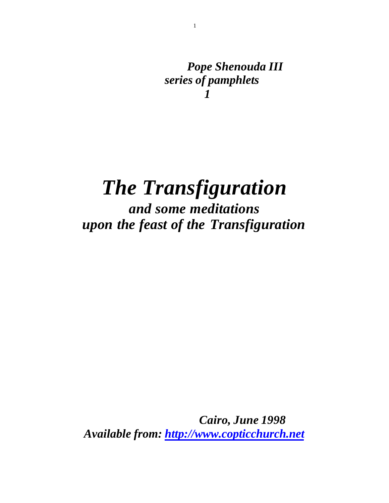*Pope Shenouda III series of pamphlets 1*

# *The Transfiguration*

*and some meditations upon the feast of the Transfiguration*

 *Cairo, June 1998 Available from:<http://www.copticchurch.net>*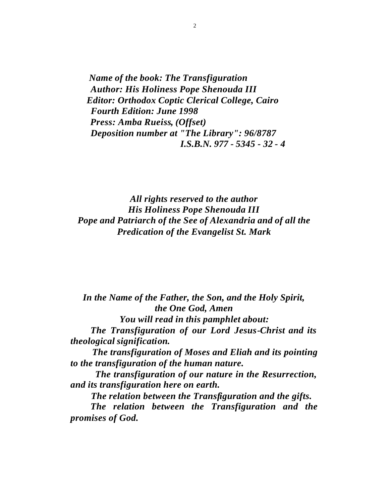*Name of the book: The Transfiguration Author: His Holiness Pope Shenouda III Editor: Orthodox Coptic Clerical College, Cairo Fourth Edition: June 1998 Press: Amba Rueiss, (Offset) Deposition number at "The Library": 96/8787 I.S.B.N. 977 - 5345 - 32 - 4*

*All rights reserved to the author His Holiness Pope Shenouda III Pope and Patriarch of the See of Alexandria and of all the Predication of the Evangelist St. Mark*

*In the Name of the Father, the Son, and the Holy Spirit, the One God, Amen You will read in this pamphlet about: The Transfiguration of our Lord Jesus-Christ and its theological signification. The transfiguration of Moses and Eliah and its pointing to the transfiguration of the human nature. The transfiguration of our nature in the Resurrection,* 

*and its transfiguration here on earth.*

 *The relation between the Transfiguration and the gifts.*

 *The relation between the Transfiguration and the promises of God.*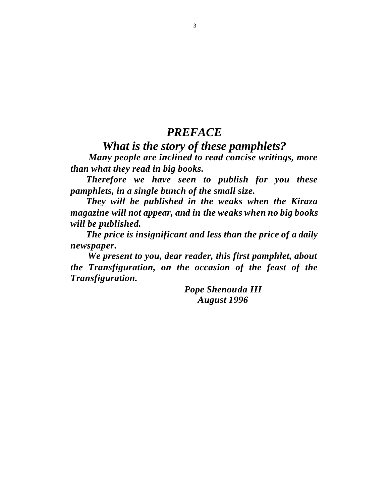### *PREFACE*

# *What is the story of these pamphlets?*

 *Many people are inclined to read concise writings, more than what they read in big books.*

 *Therefore we have seen to publish for you these pamphlets, in a single bunch of the small size.*

 *They will be published in the weaks when the Kiraza magazine will not appear, and in the weaks when no big books will be published.*

 *The price is insignificant and less than the price of a daily newspaper.*

 *We present to you, dear reader, this first pamphlet, about the Transfiguration, on the occasion of the feast of the Transfiguration.* 

> *Pope Shenouda III August 1996*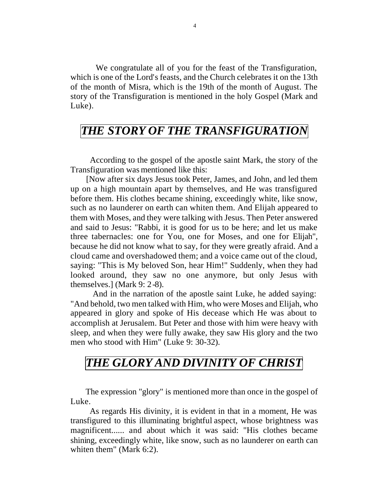We congratulate all of you for the feast of the Transfiguration, which is one of the Lord's feasts, and the Church celebrates it on the 13th of the month of Misra, which is the 19th of the month of August. The story of the Transfiguration is mentioned in the holy Gospel (Mark and Luke).

### *THE STORY OF THE TRANSFIGURATION*

 According to the gospel of the apostle saint Mark, the story of the Transfiguration was mentioned like this:

 [Now after six days Jesus took Peter, James, and John, and led them up on a high mountain apart by themselves, and He was transfigured before them. His clothes became shining, exceedingly white, like snow, such as no launderer on earth can whiten them. And Elijah appeared to them with Moses, and they were talking with Jesus. Then Peter answered and said to Jesus: "Rabbi, it is good for us to be here; and let us make three tabernacles: one for You, one for Moses, and one for Elijah", because he did not know what to say, for they were greatly afraid. And a cloud came and overshadowed them; and a voice came out of the cloud, saying: "This is My beloved Son, hear Him!" Suddenly, when they had looked around, they saw no one anymore, but only Jesus with themselves.] (Mark 9: 2-8).

 And in the narration of the apostle saint Luke, he added saying: "And behold, two men talked with Him, who were Moses and Elijah, who appeared in glory and spoke of His decease which He was about to accomplish at Jerusalem. But Peter and those with him were heavy with sleep, and when they were fully awake, they saw His glory and the two men who stood with Him" (Luke 9: 30-32).

## *THE GLORY AND DIVINITY OF CHRIST*

 The expression "glory" is mentioned more than once in the gospel of Luke.

 As regards His divinity, it is evident in that in a moment, He was transfigured to this illuminating brightful aspect, whose brightness was magnificent...... and about which it was said: "His clothes became shining, exceedingly white, like snow, such as no launderer on earth can whiten them" (Mark 6:2).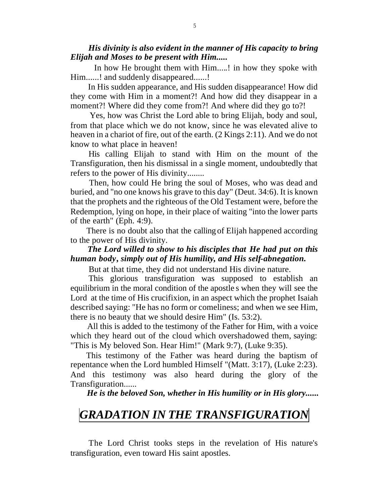#### *His divinity is also evident in the manner of His capacity to bring Elijah and Moses to be present with Him.....*

 In how He brought them with Him.....! in how they spoke with Him......! and suddenly disappeared......!

 In His sudden appearance, and His sudden disappearance! How did they come with Him in a moment?! And how did they disappear in a moment?! Where did they come from?! And where did they go to?!

 Yes, how was Christ the Lord able to bring Elijah, body and soul, from that place which we do not know, since he was elevated alive to heaven in a chariot of fire, out of the earth. (2 Kings 2:11). And we do not know to what place in heaven!

 His calling Elijah to stand with Him on the mount of the Transfiguration, then his dismissal in a single moment, undoubtedly that refers to the power of His divinity........

 Then, how could He bring the soul of Moses, who was dead and buried, and "no one knows his grave to this day" (Deut. 34:6). It is known that the prophets and the righteous of the Old Testament were, before the Redemption, lying on hope, in their place of waiting "into the lower parts of the earth" (Eph. 4:9).

 There is no doubt also that the calling of Elijah happened according to the power of His divinity.

### *The Lord willed to show to his disciples that He had put on this human body, simply out of His humility, and His self-abnegation.*

But at that time, they did not understand His divine nature.

 This glorious transfiguration was supposed to establish an equilibrium in the moral condition of the apostle s when they will see the Lord at the time of His crucifixion, in an aspect which the prophet Isaiah described saying: "He has no form or comeliness; and when we see Him, there is no beauty that we should desire Him" (Is. 53:2).

 All this is added to the testimony of the Father for Him, with a voice which they heard out of the cloud which overshadowed them, saying: "This is My beloved Son. Hear Him!" (Mark 9:7), (Luke 9:35).

 This testimony of the Father was heard during the baptism of repentance when the Lord humbled Himself "(Matt. 3:17), (Luke 2:23). And this testimony was also heard during the glory of the Transfiguration......

 *He is the beloved Son, whether in His humility or in His glory......* 

### *GRADATION IN THE TRANSFIGURATION*

 The Lord Christ tooks steps in the revelation of His nature's transfiguration, even toward His saint apostles.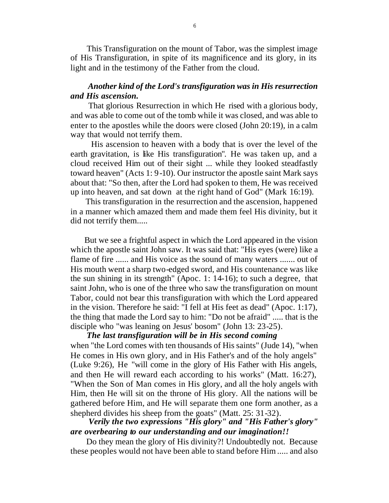This Transfiguration on the mount of Tabor, was the simplest image of His Transfiguration, in spite of its magnificence and its glory, in its light and in the testimony of the Father from the cloud.

#### *Another kind of the Lord's transfiguration was in His resurrection and His ascension.*

 That glorious Resurrection in which He rised with a glorious body, and was able to come out of the tomb while it was closed, and was able to enter to the apostles while the doors were closed (John 20:19), in a calm way that would not terrify them.

 His ascension to heaven with a body that is over the level of the earth gravitation, is like His transfiguration". He was taken up, and a cloud received Him out of their sight ... while they looked steadfastly toward heaven" (Acts 1: 9-10). Our instructor the apostle saint Mark says about that: "So then, after the Lord had spoken to them, He was received up into heaven, and sat down at the right hand of God" (Mark 16:19).

 This transfiguration in the resurrection and the ascension, happened in a manner which amazed them and made them feel His divinity, but it did not terrify them.....

 But we see a frightful aspect in which the Lord appeared in the vision which the apostle saint John saw. It was said that: "His eyes (were) like a flame of fire ...... and His voice as the sound of many waters ....... out of His mouth went a sharp two-edged sword, and His countenance was like the sun shining in its strength" (Apoc. 1: 14-16); to such a degree, that saint John, who is one of the three who saw the transfiguration on mount Tabor, could not bear this transfiguration with which the Lord appeared in the vision. Therefore he said: "I fell at His feet as dead" (Apoc. 1:17), the thing that made the Lord say to him: "Do not be afraid" ..... that is the disciple who "was leaning on Jesus' bosom" (John 13: 23-25).

 *The last transfiguration will be in His second coming* when "the Lord comes with ten thousands of His saints" (Jude 14), "when He comes in His own glory, and in His Father's and of the holy angels" (Luke 9:26), He "will come in the glory of His Father with His angels, and then He will reward each according to his works" (Matt. 16:27), "When the Son of Man comes in His glory, and all the holy angels with Him, then He will sit on the throne of His glory. All the nations will be gathered before Him, and He will separate them one form another, as a shepherd divides his sheep from the goats" (Matt. 25: 31-32).

#### *Verily the two expressions "His glory" and "His Father's glory" are overbearing to our understanding and our imagination!!*

 Do they mean the glory of His divinity?! Undoubtedly not. Because these peoples would not have been able to stand before Him ..... and also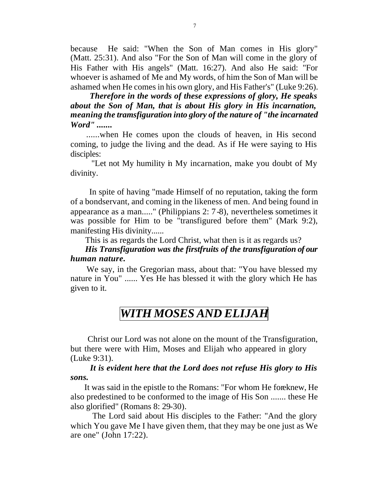because He said: "When the Son of Man comes in His glory" (Matt. 25:31). And also "For the Son of Man will come in the glory of His Father with His angels" (Matt. 16:27). And also He said: "For whoever is ashamed of Me and My words, of him the Son of Man will be ashamed when He comes in his own glory, and His Father's" (Luke 9:26).

 *Therefore in the words of these expressions of glory, He speaks about the Son of Man, that is about His glory in His incarnation, meaning the tramsfiguration into glory of the nature of "the incarnated Word" .......*

 ......when He comes upon the clouds of heaven, in His second coming, to judge the living and the dead. As if He were saying to His disciples:

 "Let not My humility in My incarnation, make you doubt of My divinity.

 In spite of having "made Himself of no reputation, taking the form of a bondservant, and coming in the likeness of men. And being found in appearance as a man....." (Philippians 2: 7-8), nevertheless sometimes it was possible for Him to be "transfigured before them" (Mark 9:2), manifesting His divinity......

This is as regards the Lord Christ, what then is it as regards us?

#### *His Transfiguration was the firstfruits of the transfiguration of our human nature.*

 We say, in the Gregorian mass, about that: "You have blessed my nature in You" ...... Yes He has blessed it with the glory which He has given to it.

## *WITH MOSES AND ELIJAH*

 Christ our Lord was not alone on the mount of the Transfiguration, but there were with Him, Moses and Elijah who appeared in glory (Luke 9:31).

#### *It is evident here that the Lord does not refuse His glory to His sons.*

 It was said in the epistle to the Romans: "For whom He foreknew, He also predestined to be conformed to the image of His Son ....... these He also glorified" (Romans 8: 29-30).

 The Lord said about His disciples to the Father: "And the glory which You gave Me I have given them, that they may be one just as We are one" (John 17:22).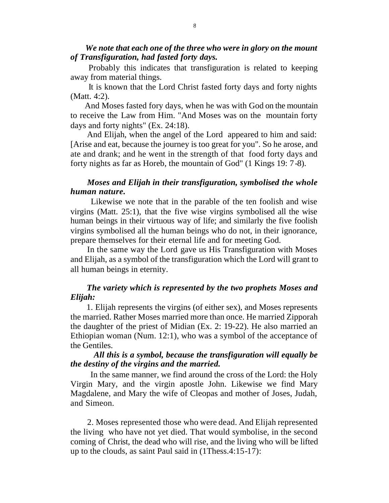*We note that each one of the three who were in glory on the mount of Transfiguration, had fasted forty days.*

 Probably this indicates that transfiguration is related to keeping away from material things.

 It is known that the Lord Christ fasted forty days and forty nights (Matt. 4:2).

 And Moses fasted fory days, when he was with God on the mountain to receive the Law from Him. "And Moses was on the mountain forty days and forty nights" (Ex. 24:18).

 And Elijah, when the angel of the Lord appeared to him and said: [Arise and eat, because the journey is too great for you". So he arose, and ate and drank; and he went in the strength of that food forty days and forty nights as far as Horeb, the mountain of God" (1 Kings 19: 7-8).

#### *Moses and Elijah in their transfiguration, symbolised the whole human nature.*

 Likewise we note that in the parable of the ten foolish and wise virgins (Matt. 25:1), that the five wise virgins symbolised all the wise human beings in their virtuous way of life; and similarly the five foolish virgins symbolised all the human beings who do not, in their ignorance, prepare themselves for their eternal life and for meeting God.

 In the same way the Lord gave us His Transfiguration with Moses and Elijah, as a symbol of the transfiguration which the Lord will grant to all human beings in eternity.

#### *The variety which is represented by the two prophets Moses and Elijah:*

 1. Elijah represents the virgins (of either sex), and Moses represents the married. Rather Moses married more than once. He married Zipporah the daughter of the priest of Midian (Ex. 2: 19-22). He also married an Ethiopian woman (Num. 12:1), who was a symbol of the acceptance of the Gentiles.

#### *All this is a symbol, because the transfiguration will equally be the destiny of the virgins and the married.*

 In the same manner, we find around the cross of the Lord: the Holy Virgin Mary, and the virgin apostle John. Likewise we find Mary Magdalene, and Mary the wife of Cleopas and mother of Joses, Judah, and Simeon.

 2. Moses represented those who were dead. And Elijah represented the living who have not yet died. That would symbolise, in the second coming of Christ, the dead who will rise, and the living who will be lifted up to the clouds, as saint Paul said in (1Thess.4:15-17):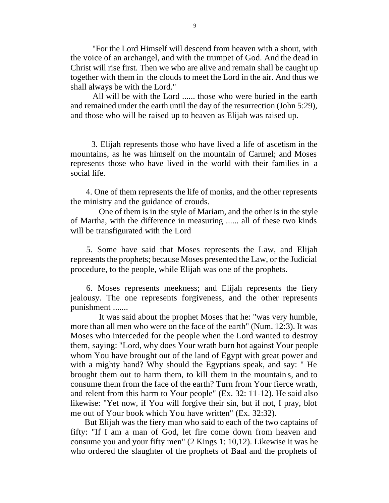"For the Lord Himself will descend from heaven with a shout, with the voice of an archangel, and with the trumpet of God. And the dead in Christ will rise first. Then we who are alive and remain shall be caught up together with them in the clouds to meet the Lord in the air. And thus we shall always be with the Lord."

 All will be with the Lord ...... those who were buried in the earth and remained under the earth until the day of the resurrection (John 5:29), and those who will be raised up to heaven as Elijah was raised up.

 3. Elijah represents those who have lived a life of ascetism in the mountains, as he was himself on the mountain of Carmel; and Moses represents those who have lived in the world with their families in a social life.

 4. One of them represents the life of monks, and the other represents the ministry and the guidance of crouds.

 One of them is in the style of Mariam, and the other is in the style of Martha, with the difference in measuring ...... all of these two kinds will be transfigurated with the Lord

 5. Some have said that Moses represents the Law, and Elijah represents the prophets; because Moses presented the Law, or the Judicial procedure, to the people, while Elijah was one of the prophets.

 6. Moses represents meekness; and Elijah represents the fiery jealousy. The one represents forgiveness, and the other represents punishment .......

 It was said about the prophet Moses that he: "was very humble, more than all men who were on the face of the earth" (Num. 12:3). It was Moses who interceded for the people when the Lord wanted to destroy them, saying: "Lord, why does Your wrath burn hot against Your people whom You have brought out of the land of Egypt with great power and with a mighty hand? Why should the Egyptians speak, and say: " He brought them out to harm them, to kill them in the mountain s, and to consume them from the face of the earth? Turn from Your fierce wrath, and relent from this harm to Your people" (Ex. 32: 11-12). He said also likewise: "Yet now, if You will forgive their sin, but if not, I pray, blot me out of Your book which You have written" (Ex. 32:32).

 But Elijah was the fiery man who said to each of the two captains of fifty: "If I am a man of God, let fire come down from heaven and consume you and your fifty men" (2 Kings 1: 10,12). Likewise it was he who ordered the slaughter of the prophets of Baal and the prophets of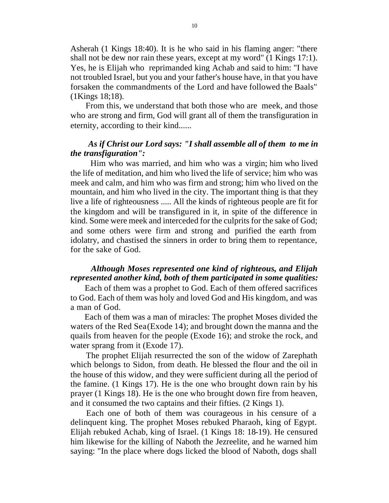Asherah (1 Kings 18:40). It is he who said in his flaming anger: "there shall not be dew nor rain these years, except at my word" (1 Kings 17:1). Yes, he is Elijah who reprimanded king Achab and said to him: "I have not troubled Israel, but you and your father's house have, in that you have forsaken the commandments of the Lord and have followed the Baals" (1Kings 18;18).

 From this, we understand that both those who are meek, and those who are strong and firm, God will grant all of them the transfiguration in eternity, according to their kind......

#### *As if Christ our Lord says: "I shall assemble all of them to me in the transfiguration":*

Him who was married, and him who was a virgin; him who lived the life of meditation, and him who lived the life of service; him who was meek and calm, and him who was firm and strong; him who lived on the mountain, and him who lived in the city. The important thing is that they live a life of righteousness ..... All the kinds of righteous people are fit for the kingdom and will be transfigured in it, in spite of the difference in kind. Some were meek and interceded for the culprits for the sake of God; and some others were firm and strong and purified the earth from idolatry, and chastised the sinners in order to bring them to repentance, for the sake of God.

#### *Although Moses represented one kind of righteous, and Elijah represented another kind, both of them participated in some qualities:*

 Each of them was a prophet to God. Each of them offered sacrifices to God. Each of them was holy and loved God and His kingdom, and was a man of God.

 Each of them was a man of miracles: The prophet Moses divided the waters of the Red Sea (Exode 14); and brought down the manna and the quails from heaven for the people (Exode 16); and stroke the rock, and water sprang from it (Exode 17).

 The prophet Elijah resurrected the son of the widow of Zarephath which belongs to Sidon, from death. He blessed the flour and the oil in the house of this widow, and they were sufficient during all the period of the famine. (1 Kings 17). He is the one who brought down rain by his prayer (1 Kings 18). He is the one who brought down fire from heaven, and it consumed the two captains and their fifties. (2 Kings 1).

 Each one of both of them was courageous in his censure of a delinquent king. The prophet Moses rebuked Pharaoh, king of Egypt. Elijah rebuked Achab, king of Israel. (1 Kings 18: 18-19). He censured him likewise for the killing of Naboth the Jezreelite, and he warned him saying: "In the place where dogs licked the blood of Naboth, dogs shall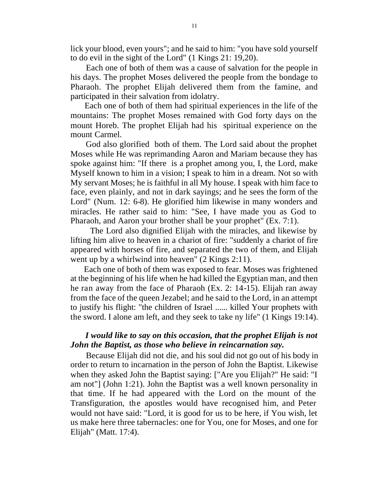lick your blood, even yours"; and he said to him: "you have sold yourself to do evil in the sight of the Lord" (1 Kings 21: 19,20).

 Each one of both of them was a cause of salvation for the people in his days. The prophet Moses delivered the people from the bondage to Pharaoh. The prophet Elijah delivered them from the famine, and participated in their salvation from idolatry.

 Each one of both of them had spiritual experiences in the life of the mountains: The prophet Moses remained with God forty days on the mount Horeb. The prophet Elijah had his spiritual experience on the mount Carmel.

 God also glorified both of them. The Lord said about the prophet Moses while He was reprimanding Aaron and Mariam because they has spoke against him: "If there is a prophet among you, I, the Lord, make Myself known to him in a vision; I speak to him in a dream. Not so with My servant Moses; he is faithful in all My house. I speak with him face to face, even plainly, and not in dark sayings; and he sees the form of the Lord" (Num. 12: 6-8). He glorified him likewise in many wonders and miracles. He rather said to him: "See, I have made you as God to Pharaoh, and Aaron your brother shall be your prophet" (Ex. 7:1).

 The Lord also dignified Elijah with the miracles, and likewise by lifting him alive to heaven in a chariot of fire: "suddenly a chariot of fire appeared with horses of fire, and separated the two of them, and Elijah went up by a whirlwind into heaven" (2 Kings 2:11).

 Each one of both of them was exposed to fear. Moses was frightened at the beginning of his life when he had killed the Egyptian man, and then he ran away from the face of Pharaoh (Ex. 2: 14-15). Elijah ran away from the face of the queen Jezabel; and he said to the Lord, in an attempt to justify his flight: "the children of Israel ...... killed Your prophets with the sword. I alone am left, and they seek to take ny life" (1 Kings 19:14).

#### *I would like to say on this occasion, that the prophet Elijah is not John the Baptist, as those who believe in reincarnation say.*

 Because Elijah did not die, and his soul did not go out of his body in order to return to incarnation in the person of John the Baptist. Likewise when they asked John the Baptist saying: ["Are you Elijah?" He said: "I am not"] (John 1:21). John the Baptist was a well known personality in that time. If he had appeared with the Lord on the mount of the Transfiguration, the apostles would have recognised him, and Peter would not have said: "Lord, it is good for us to be here, if You wish, let us make here three tabernacles: one for You, one for Moses, and one for Elijah" (Matt. 17:4).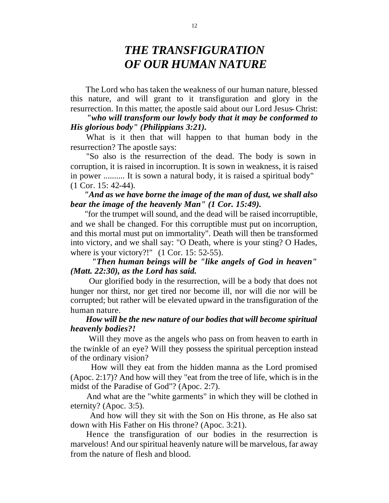### *THE TRANSFIGURATION OF OUR HUMAN NATURE*

 The Lord who has taken the weakness of our human nature, blessed this nature, and will grant to it transfiguration and glory in the resurrection. In this matter, the apostle said about our Lord Jesus- Christ:

 *"who will transform our lowly body that it may be conformed to His glorious body" (Philippians 3:21).*

 What is it then that will happen to that human body in the resurrection? The apostle says:

 "So also is the resurrection of the dead. The body is sown in corruption, it is raised in incorruption. It is sown in weakness, it is raised in power .......... It is sown a natural body, it is raised a spiritual body" (1 Cor. 15: 42-44).

#### *"And as we have borne the image of the man of dust, we shall also bear the image of the heavenly Man" (1 Cor. 15:49).*

 "for the trumpet will sound, and the dead will be raised incorruptible, and we shall be changed. For this corruptible must put on incorruption, and this mortal must put on immortality". Death will then be transformed into victory, and we shall say: "O Death, where is your sting? O Hades, where is your victory?!" (1 Cor. 15: 52-55).

#### *"Then human beings will be "like angels of God in heaven" (Matt. 22:30), as the Lord has said.*

 Our glorified body in the resurrection, will be a body that does not hunger nor thirst, nor get tired nor become ill, nor will die nor will be corrupted; but rather will be elevated upward in the transfiguration of the human nature.

#### *How will be the new nature of our bodies that will become spiritual heavenly bodies?!*

 Will they move as the angels who pass on from heaven to earth in the twinkle of an eye? Will they possess the spiritual perception instead of the ordinary vision?

 How will they eat from the hidden manna as the Lord promised (Apoc. 2:17)? And how will they "eat from the tree of life, which is in the midst of the Paradise of God"? (Apoc. 2:7).

 And what are the "white garments" in which they will be clothed in eternity? (Apoc. 3:5).

 And how will they sit with the Son on His throne, as He also sat down with His Father on His throne? (Apoc. 3:21).

 Hence the transfiguration of our bodies in the resurrection is marvelous! And our spiritual heavenly nature will be marvelous, far away from the nature of flesh and blood.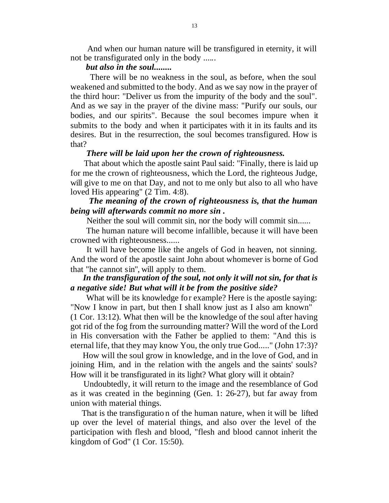And when our human nature will be transfigured in eternity, it will not be transfigurated only in the body ......

#### *but also in the soul........*

 There will be no weakness in the soul, as before, when the soul weakened and submitted to the body. And as we say now in the prayer of the third hour: "Deliver us from the impurity of the body and the soul". And as we say in the prayer of the divine mass: "Purify our souls, our bodies, and our spirits". Because the soul becomes impure when it submits to the body and when it participates with it in its faults and its desires. But in the resurrection, the soul becomes transfigured. How is that?

#### *There will be laid upon her the crown of righteousness.*

 That about which the apostle saint Paul said: "Finally, there is laid up for me the crown of righteousness, which the Lord, the righteous Judge, will give to me on that Day, and not to me only but also to all who have loved His appearing" (2 Tim. 4:8).

#### *The meaning of the crown of righteousness is, that the human being will afterwards commit no more sin .*

Neither the soul will commit sin, nor the body will commit sin......

 The human nature will become infallible, because it will have been crowned with righteousness......

 It will have become like the angels of God in heaven, not sinning. And the word of the apostle saint John about whomever is borne of God that "he cannot sin", will apply to them.

#### *In the transfiguration of the soul, not only it will not sin, for that is a negative side! But what will it be from the positive side?*

 What will be its knowledge for example? Here is the apostle saying: "Now I know in part, but then I shall know just as I also am known" (1 Cor. 13:12). What then will be the knowledge of the soul after having got rid of the fog from the surrounding matter? Will the word of the Lord in His conversation with the Father be applied to them: "And this is eternal life, that they may know You, the only true God....." (John 17:3)?

 How will the soul grow in knowledge, and in the love of God, and in joining Him, and in the relation with the angels and the saints' souls? How will it be transfigurated in its light? What glory will it obtain?

 Undoubtedly, it will return to the image and the resemblance of God as it was created in the beginning (Gen. 1: 26-27), but far away from union with material things.

 That is the transfiguratio n of the human nature, when it will be lifted up over the level of material things, and also over the level of the participation with flesh and blood, "flesh and blood cannot inherit the kingdom of God" (1 Cor. 15:50).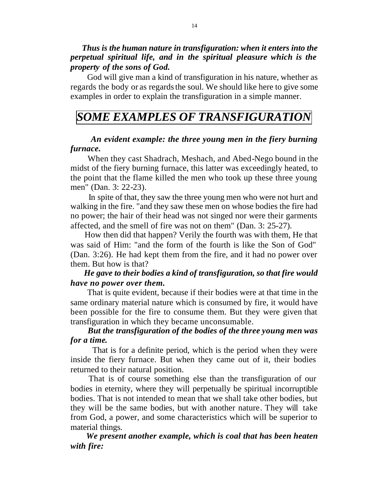*Thus is the human nature in transfiguration: when it enters into the perpetual spiritual life, and in the spiritual pleasure which is the property of the sons of God.*

 God will give man a kind of transfiguration in his nature, whether as regards the body or as regards the soul. We should like here to give some examples in order to explain the transfiguration in a simple manner.

### *SOME EXAMPLES OF TRANSFIGURATION*

#### *An evident example: the three young men in the fiery burning furnace.*

 When they cast Shadrach, Meshach, and Abed-Nego bound in the midst of the fiery burning furnace, this latter was exceedingly heated, to the point that the flame killed the men who took up these three young men" (Dan. 3: 22-23).

 In spite of that, they saw the three young men who were not hurt and walking in the fire. "and they saw these men on whose bodies the fire had no power; the hair of their head was not singed nor were their garments affected, and the smell of fire was not on them" (Dan. 3: 25-27).

 How then did that happen? Verily the fourth was with them, He that was said of Him: "and the form of the fourth is like the Son of God" (Dan. 3:26). He had kept them from the fire, and it had no power over them. But how is that?

#### *He gave to their bodies a kind of transfiguration, so that fire would have no power over them.*

 That is quite evident, because if their bodies were at that time in the same ordinary material nature which is consumed by fire, it would have been possible for the fire to consume them. But they were given that transfiguration in which they became unconsumable.

#### *But the transfiguration of the bodies of the three young men was for a time.*

 That is for a definite period, which is the period when they were inside the fiery furnace. But when they came out of it, their bodies returned to their natural position.

 That is of course something else than the transfiguration of our bodies in eternity, where they will perpetually be spiritual incorruptible bodies. That is not intended to mean that we shall take other bodies, but they will be the same bodies, but with another nature. They will take from God, a power, and some characteristics which will be superior to material things.

 *We present another example, which is coal that has been heaten with fire:*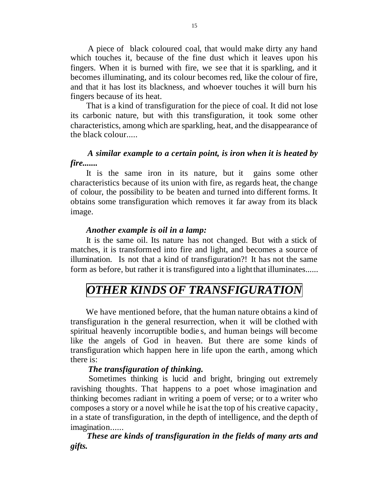A piece of black coloured coal, that would make dirty any hand which touches it, because of the fine dust which it leaves upon his fingers. When it is burned with fire, we see that it is sparkling, and it becomes illuminating, and its colour becomes red, like the colour of fire, and that it has lost its blackness, and whoever touches it will burn his fingers because of its heat.

 That is a kind of transfiguration for the piece of coal. It did not lose its carbonic nature, but with this transfiguration, it took some other characteristics, among which are sparkling, heat, and the disappearance of the black colour.....

#### *A similar example to a certain point, is iron when it is heated by fire.......*

 It is the same iron in its nature, but it gains some other characteristics because of its union with fire, as regards heat, the change of colour, the possibility to be beaten and turned into different forms. It obtains some transfiguration which removes it far away from its black image.

#### *Another example is oil in a lamp:*

 It is the same oil. Its nature has not changed. But with a stick of matches, it is transformed into fire and light, and becomes a source of illumination. Is not that a kind of transfiguration?! It has not the same form as before, but rather it is transfigured into a light that illuminates......

# *OTHER KINDS OF TRANSFIGURATION*

 We have mentioned before, that the human nature obtains a kind of transfiguration in the general resurrection, when it will be clothed with spiritual heavenly incorruptible bodie s, and human beings will become like the angels of God in heaven. But there are some kinds of transfiguration which happen here in life upon the earth, among which there is:

#### *The transfiguration of thinking.*

 Sometimes thinking is lucid and bright, bringing out extremely ravishing thoughts. That happens to a poet whose imagination and thinking becomes radiant in writing a poem of verse; or to a writer who composes a story or a novel while he is at the top of his creative capacity, in a state of transfiguration, in the depth of intelligence, and the depth of imagination......

 *These are kinds of transfiguration in the fields of many arts and gifts.*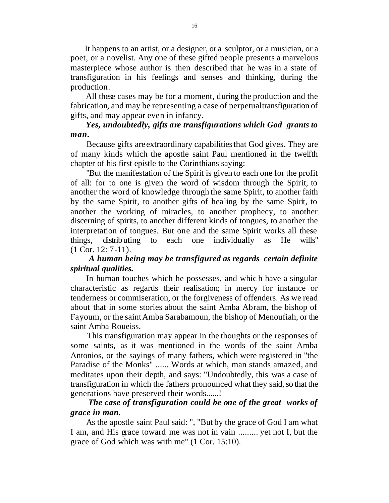It happens to an artist, or a designer, or a sculptor, or a musician, or a poet, or a novelist. Any one of these gifted people presents a marvelous masterpiece whose author is then described that he was in a state of transfiguration in his feelings and senses and thinking, during the production.

 All these cases may be for a moment, during the production and the fabrication, and may be representing a case of perpetual transfiguration of gifts, and may appear even in infancy.

#### *Yes, undoubtedly, gifts are transfigurations which God grants to man.*

 Because gifts are extraordinary capabilities that God gives. They are of many kinds which the apostle saint Paul mentioned in the twelfth chapter of his first epistle to the Corinthians saying:

 "But the manifestation of the Spirit is given to each one for the profit of all: for to one is given the word of wisdom through the Spirit, to another the word of knowledge through the same Spirit, to another faith by the same Spirit, to another gifts of healing by the same Spirit, to another the working of miracles, to another prophecy, to another discerning of spirits, to another different kinds of tongues, to another the interpretation of tongues. But one and the same Spirit works all these things, distributing to each one individually as He wills" (1 Cor. 12: 7-11).

#### *A human being may be transfigured as regards certain definite spiritual qualities.*

 In human touches which he possesses, and whic h have a singular characteristic as regards their realisation; in mercy for instance or tenderness or commiseration, or the forgiveness of offenders. As we read about that in some stories about the saint Amba Abram, the bishop of Fayoum, or the saint Amba Sarabamoun, the bishop of Menoufiah, or the saint Amba Roueiss.

 This transfiguration may appear in the thoughts or the responses of some saints, as it was mentioned in the words of the saint Amba Antonios, or the sayings of many fathers, which were registered in "the Paradise of the Monks" ...... Words at which, man stands amazed, and meditates upon their depth, and says: "Undoubtedly, this was a case of transfiguration in which the fathers pronounced what they said, so that the generations have preserved their words......!

#### *The case of transfiguration could be one of the great works of grace in man.*

 As the apostle saint Paul said: ", "But by the grace of God I am what I am, and His grace toward me was not in vain ......... yet not I, but the grace of God which was with me" (1 Cor. 15:10).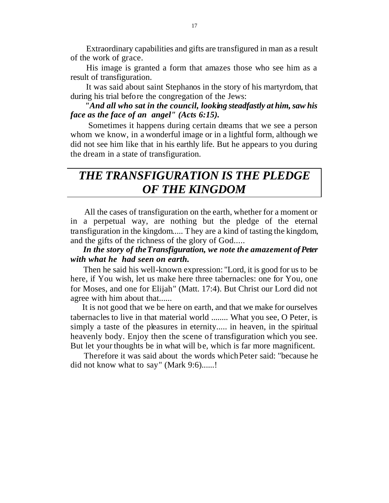Extraordinary capabilities and gifts are transfigured in man as a result of the work of grace.

 His image is granted a form that amazes those who see him as a result of transfiguration.

 It was said about saint Stephanos in the story of his martyrdom, that during his trial before the congregation of the Jews:

 *"And all who sat in the council, looking steadfastly at him, saw his face as the face of an angel" (Acts 6:15).*

 Sometimes it happens during certain dreams that we see a person whom we know, in a wonderful image or in a lightful form, although we did not see him like that in his earthly life. But he appears to you during the dream in a state of transfiguration.

### *THE TRANSFIGURATION IS THE PLEDGE OF THE KINGDOM*

 All the cases of transfiguration on the earth, whether for a moment or in a perpetual way, are nothing but the pledge of the eternal transfiguration in the kingdom..... They are a kind of tasting the kingdom, and the gifts of the richness of the glory of God.....

#### *In the story of the Transfiguration, we note the amazement of Peter with what he had seen on earth.*

 Then he said his well-known expression: "Lord, it is good for us to be here, if You wish, let us make here three tabernacles: one for You, one for Moses, and one for Elijah" (Matt. 17:4). But Christ our Lord did not agree with him about that......

 It is not good that we be here on earth, and that we make for ourselves tabernacles to live in that material world ........ What you see, O Peter, is simply a taste of the pleasures in eternity..... in heaven, in the spiritual heavenly body. Enjoy then the scene of transfiguration which you see. But let your thoughts be in what will be, which is far more magnificent.

 Therefore it was said about the words which Peter said: "because he did not know what to say" (Mark 9:6)......!